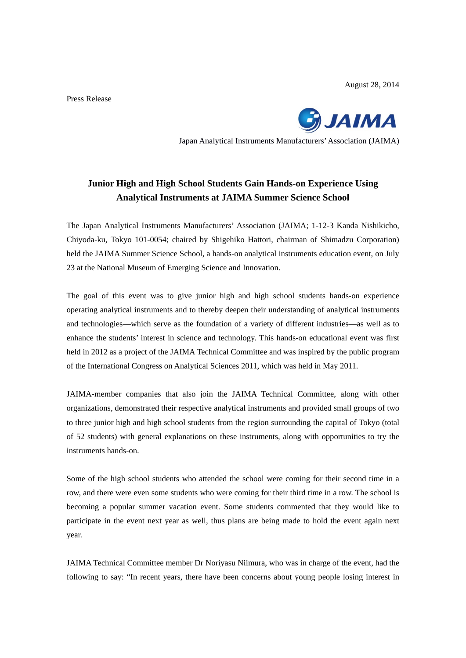August 28, 2014

Press Release



Japan Analytical Instruments Manufacturers' Association (JAIMA)

## **Junior High and High School Students Gain Hands-on Experience Using Analytical Instruments at JAIMA Summer Science School**

The Japan Analytical Instruments Manufacturers' Association (JAIMA; 1-12-3 Kanda Nishikicho, Chiyoda-ku, Tokyo 101-0054; chaired by Shigehiko Hattori, chairman of Shimadzu Corporation) held the JAIMA Summer Science School, a hands-on analytical instruments education event, on July 23 at the National Museum of Emerging Science and Innovation.

The goal of this event was to give junior high and high school students hands-on experience operating analytical instruments and to thereby deepen their understanding of analytical instruments and technologies—which serve as the foundation of a variety of different industries—as well as to enhance the students' interest in science and technology. This hands-on educational event was first held in 2012 as a project of the JAIMA Technical Committee and was inspired by the public program of the International Congress on Analytical Sciences 2011, which was held in May 2011.

JAIMA-member companies that also join the JAIMA Technical Committee, along with other organizations, demonstrated their respective analytical instruments and provided small groups of two to three junior high and high school students from the region surrounding the capital of Tokyo (total of 52 students) with general explanations on these instruments, along with opportunities to try the instruments hands-on.

Some of the high school students who attended the school were coming for their second time in a row, and there were even some students who were coming for their third time in a row. The school is becoming a popular summer vacation event. Some students commented that they would like to participate in the event next year as well, thus plans are being made to hold the event again next year.

JAIMA Technical Committee member Dr Noriyasu Niimura, who was in charge of the event, had the following to say: "In recent years, there have been concerns about young people losing interest in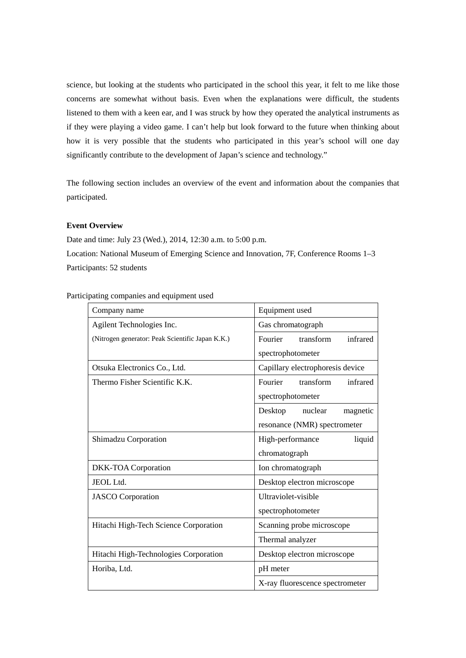science, but looking at the students who participated in the school this year, it felt to me like those concerns are somewhat without basis. Even when the explanations were difficult, the students listened to them with a keen ear, and I was struck by how they operated the analytical instruments as if they were playing a video game. I can't help but look forward to the future when thinking about how it is very possible that the students who participated in this year's school will one day significantly contribute to the development of Japan's science and technology."

The following section includes an overview of the event and information about the companies that participated.

## **Event Overview**

Date and time: July 23 (Wed.), 2014, 12:30 a.m. to 5:00 p.m. Location: National Museum of Emerging Science and Innovation, 7F, Conference Rooms 1–3 Participants: 52 students

Participating companies and equipment used

| Company name                                     | Equipment used                   |
|--------------------------------------------------|----------------------------------|
| Agilent Technologies Inc.                        | Gas chromatograph                |
| (Nitrogen generator: Peak Scientific Japan K.K.) | Fourier<br>transform<br>infrared |
|                                                  | spectrophotometer                |
| Otsuka Electronics Co., Ltd.                     | Capillary electrophoresis device |
| Thermo Fisher Scientific K.K.                    | Fourier<br>transform<br>infrared |
|                                                  | spectrophotometer                |
|                                                  | Desktop<br>nuclear<br>magnetic   |
|                                                  | resonance (NMR) spectrometer     |
| Shimadzu Corporation                             | High-performance<br>liquid       |
|                                                  | chromatograph                    |
| DKK-TOA Corporation                              | Ion chromatograph                |
| JEOL Ltd.                                        | Desktop electron microscope      |
| <b>JASCO</b> Corporation                         | Ultraviolet-visible              |
|                                                  | spectrophotometer                |
| Hitachi High-Tech Science Corporation            | Scanning probe microscope        |
|                                                  | Thermal analyzer                 |
| Hitachi High-Technologies Corporation            | Desktop electron microscope      |
| Horiba, Ltd.                                     | pH meter                         |
|                                                  | X-ray fluorescence spectrometer  |